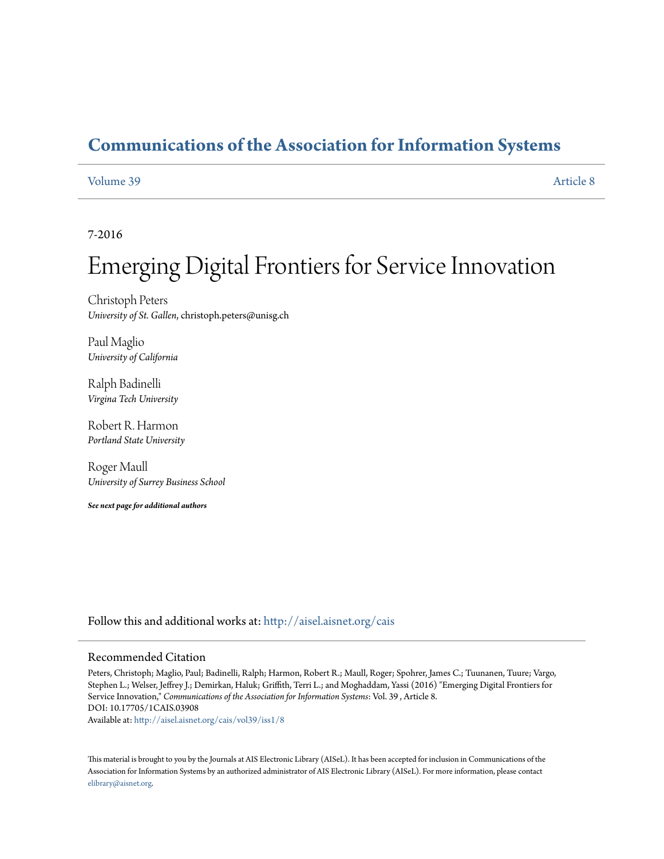# **[Communications of the Association for Information Systems](http://aisel.aisnet.org/cais?utm_source=aisel.aisnet.org%2Fcais%2Fvol39%2Fiss1%2F8&utm_medium=PDF&utm_campaign=PDFCoverPages)**

### [Volume 39](http://aisel.aisnet.org/cais/vol39?utm_source=aisel.aisnet.org%2Fcais%2Fvol39%2Fiss1%2F8&utm_medium=PDF&utm_campaign=PDFCoverPages) [Article 8](http://aisel.aisnet.org/cais/vol39/iss1/8?utm_source=aisel.aisnet.org%2Fcais%2Fvol39%2Fiss1%2F8&utm_medium=PDF&utm_campaign=PDFCoverPages)

### 7-2016

# Emerging Digital Frontiers for Service Innovation

Christoph Peters *University of St. Gallen*, christoph.peters@unisg.ch

Paul Maglio *University of California*

Ralph Badinelli *Virgina Tech University*

Robert R. Harmon *Portland State University*

Roger Maull *University of Surrey Business School*

*See next page for additional authors*

Follow this and additional works at: [http://aisel.aisnet.org/cais](http://aisel.aisnet.org/cais?utm_source=aisel.aisnet.org%2Fcais%2Fvol39%2Fiss1%2F8&utm_medium=PDF&utm_campaign=PDFCoverPages)

#### Recommended Citation

Peters, Christoph; Maglio, Paul; Badinelli, Ralph; Harmon, Robert R.; Maull, Roger; Spohrer, James C.; Tuunanen, Tuure; Vargo, Stephen L.; Welser, Jeffrey J.; Demirkan, Haluk; Griffith, Terri L.; and Moghaddam, Yassi (2016) "Emerging Digital Frontiers for Service Innovation," *Communications of the Association for Information Systems*: Vol. 39 , Article 8. DOI: 10.17705/1CAIS.03908 Available at: [http://aisel.aisnet.org/cais/vol39/iss1/8](http://aisel.aisnet.org/cais/vol39/iss1/8?utm_source=aisel.aisnet.org%2Fcais%2Fvol39%2Fiss1%2F8&utm_medium=PDF&utm_campaign=PDFCoverPages)

This material is brought to you by the Journals at AIS Electronic Library (AISeL). It has been accepted for inclusion in Communications of the Association for Information Systems by an authorized administrator of AIS Electronic Library (AISeL). For more information, please contact [elibrary@aisnet.org.](mailto:elibrary@aisnet.org%3E)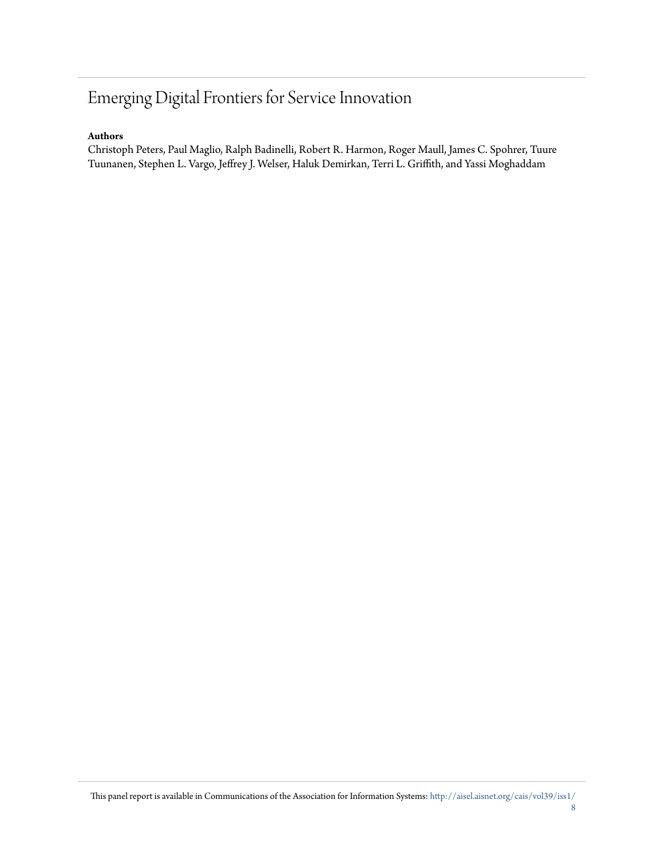# Emerging Digital Frontiers for Service Innovation

### **Authors**

Christoph Peters, Paul Maglio, Ralph Badinelli, Robert R. Harmon, Roger Maull, James C. Spohrer, Tuure Tuunanen, Stephen L. Vargo, Jeffrey J. Welser, Haluk Demirkan, Terri L. Griffith, and Yassi Moghaddam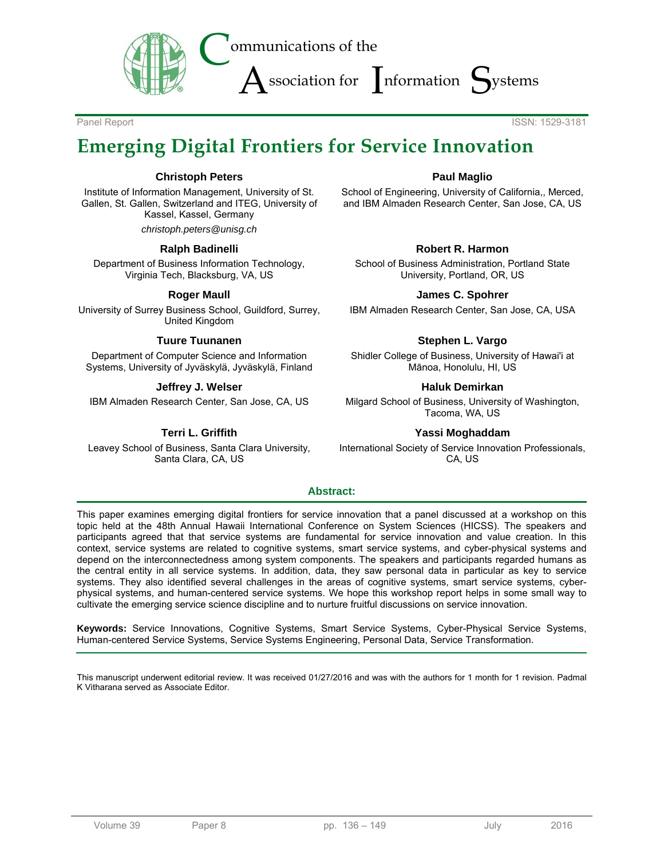

Panel Report **ISSN: 1529-3181** 

# **Emerging Digital Frontiers for Service Innovation**

### **Christoph Peters**

Institute of Information Management, University of St. Gallen, St. Gallen, Switzerland and ITEG, University of Kassel, Kassel, Germany

*christoph.peters@unisg.ch* 

#### **Ralph Badinelli**

Department of Business Information Technology, Virginia Tech, Blacksburg, VA, US

### **Roger Maull**

University of Surrey Business School, Guildford, Surrey, United Kingdom

### **Tuure Tuunanen**

Department of Computer Science and Information Systems, University of Jyväskylä, Jyväskylä, Finland

### **Jeffrey J. Welser**

IBM Almaden Research Center, San Jose, CA, US

### **Terri L. Griffith**

Leavey School of Business, Santa Clara University, Santa Clara, CA, US

### **Paul Maglio**

School of Engineering, University of California,, Merced, and IBM Almaden Research Center, San Jose, CA, US

### **Robert R. Harmon**

School of Business Administration, Portland State University, Portland, OR, US

#### **James C. Spohrer**

IBM Almaden Research Center, San Jose, CA, USA

### **Stephen L. Vargo**

Shidler College of Business, University of Hawai'i at Mānoa, Honolulu, HI, US

#### **Haluk Demirkan**

Milgard School of Business, University of Washington, Tacoma, WA, US

### **Yassi Moghaddam**

International Society of Service Innovation Professionals, CA, US

### **Abstract:**

This paper examines emerging digital frontiers for service innovation that a panel discussed at a workshop on this topic held at the 48th Annual Hawaii International Conference on System Sciences (HICSS). The speakers and participants agreed that that service systems are fundamental for service innovation and value creation. In this context, service systems are related to cognitive systems, smart service systems, and cyber-physical systems and depend on the interconnectedness among system components. The speakers and participants regarded humans as the central entity in all service systems. In addition, data, they saw personal data in particular as key to service systems. They also identified several challenges in the areas of cognitive systems, smart service systems, cyberphysical systems, and human-centered service systems. We hope this workshop report helps in some small way to cultivate the emerging service science discipline and to nurture fruitful discussions on service innovation.

**Keywords:** Service Innovations, Cognitive Systems, Smart Service Systems, Cyber-Physical Service Systems, Human-centered Service Systems, Service Systems Engineering, Personal Data, Service Transformation.

This manuscript underwent editorial review. It was received 01/27/2016 and was with the authors for 1 month for 1 revision. Padmal K Vitharana served as Associate Editor.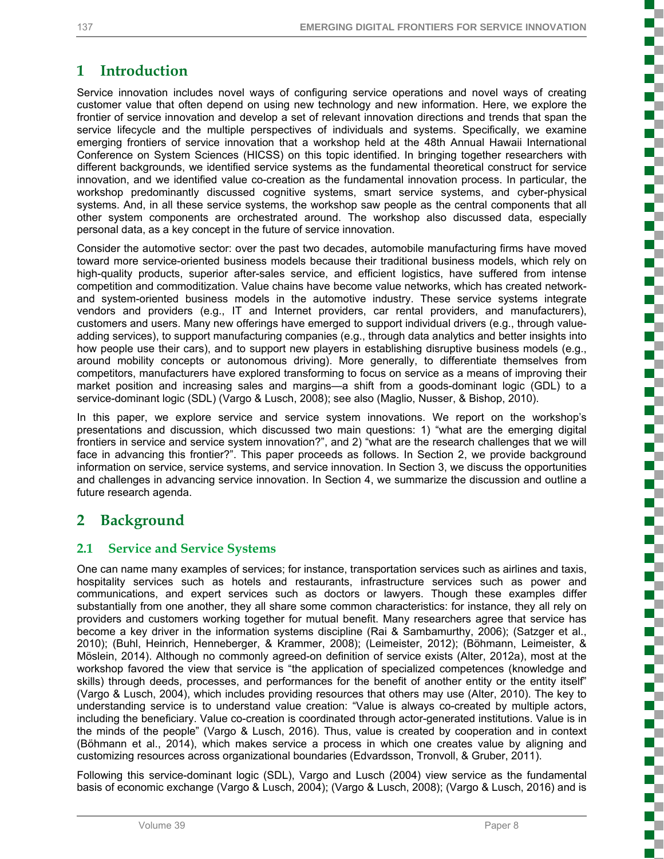# **1 Introduction**

Service innovation includes novel ways of configuring service operations and novel ways of creating customer value that often depend on using new technology and new information. Here, we explore the frontier of service innovation and develop a set of relevant innovation directions and trends that span the service lifecycle and the multiple perspectives of individuals and systems. Specifically, we examine emerging frontiers of service innovation that a workshop held at the 48th Annual Hawaii International Conference on System Sciences (HICSS) on this topic identified. In bringing together researchers with different backgrounds, we identified service systems as the fundamental theoretical construct for service innovation, and we identified value co-creation as the fundamental innovation process. In particular, the workshop predominantly discussed cognitive systems, smart service systems, and cyber-physical systems. And, in all these service systems, the workshop saw people as the central components that all other system components are orchestrated around. The workshop also discussed data, especially personal data, as a key concept in the future of service innovation.

Consider the automotive sector: over the past two decades, automobile manufacturing firms have moved toward more service-oriented business models because their traditional business models, which rely on high-quality products, superior after-sales service, and efficient logistics, have suffered from intense competition and commoditization. Value chains have become value networks, which has created networkand system-oriented business models in the automotive industry. These service systems integrate vendors and providers (e.g., IT and Internet providers, car rental providers, and manufacturers), customers and users. Many new offerings have emerged to support individual drivers (e.g., through valueadding services), to support manufacturing companies (e.g., through data analytics and better insights into how people use their cars), and to support new players in establishing disruptive business models (e.g., around mobility concepts or autonomous driving). More generally, to differentiate themselves from competitors, manufacturers have explored transforming to focus on service as a means of improving their market position and increasing sales and margins—a shift from a goods-dominant logic (GDL) to a service-dominant logic (SDL) (Vargo & Lusch, 2008); see also (Maglio, Nusser, & Bishop, 2010).

In this paper, we explore service and service system innovations. We report on the workshop's presentations and discussion, which discussed two main questions: 1) "what are the emerging digital frontiers in service and service system innovation?", and 2) "what are the research challenges that we will face in advancing this frontier?". This paper proceeds as follows. In Section 2, we provide background information on service, service systems, and service innovation. In Section 3, we discuss the opportunities and challenges in advancing service innovation. In Section 4, we summarize the discussion and outline a future research agenda.

# **2 Background**

# **2.1 Service and Service Systems**

One can name many examples of services; for instance, transportation services such as airlines and taxis, hospitality services such as hotels and restaurants, infrastructure services such as power and communications, and expert services such as doctors or lawyers. Though these examples differ substantially from one another, they all share some common characteristics: for instance, they all rely on providers and customers working together for mutual benefit. Many researchers agree that service has become a key driver in the information systems discipline (Rai & Sambamurthy, 2006); (Satzger et al., 2010); (Buhl, Heinrich, Henneberger, & Krammer, 2008); (Leimeister, 2012); (Böhmann, Leimeister, & Möslein, 2014). Although no commonly agreed-on definition of service exists (Alter, 2012a), most at the workshop favored the view that service is "the application of specialized competences (knowledge and skills) through deeds, processes, and performances for the benefit of another entity or the entity itself" (Vargo & Lusch, 2004), which includes providing resources that others may use (Alter, 2010). The key to understanding service is to understand value creation: "Value is always co-created by multiple actors, including the beneficiary. Value co-creation is coordinated through actor-generated institutions. Value is in the minds of the people" (Vargo & Lusch, 2016). Thus, value is created by cooperation and in context (Böhmann et al., 2014), which makes service a process in which one creates value by aligning and customizing resources across organizational boundaries (Edvardsson, Tronvoll, & Gruber, 2011).

Following this service-dominant logic (SDL), Vargo and Lusch (2004) view service as the fundamental basis of economic exchange (Vargo & Lusch, 2004); (Vargo & Lusch, 2008); (Vargo & Lusch, 2016) and is

ţ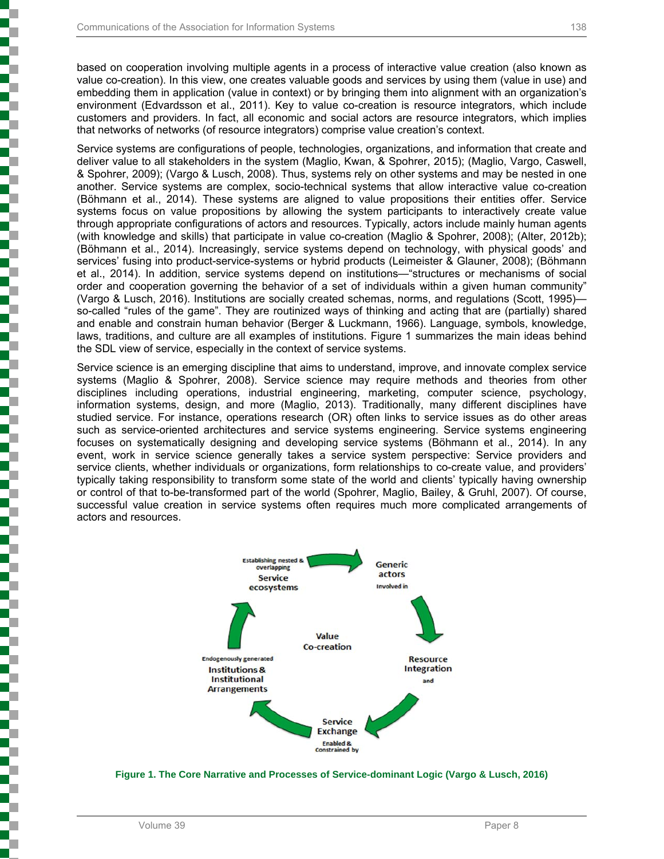based on cooperation involving multiple agents in a process of interactive value creation (also known as value co-creation). In this view, one creates valuable goods and services by using them (value in use) and embedding them in application (value in context) or by bringing them into alignment with an organization's environment (Edvardsson et al., 2011). Key to value co-creation is resource integrators, which include customers and providers. In fact, all economic and social actors are resource integrators, which implies that networks of networks (of resource integrators) comprise value creation's context.

Service systems are configurations of people, technologies, organizations, and information that create and deliver value to all stakeholders in the system (Maglio, Kwan, & Spohrer, 2015); (Maglio, Vargo, Caswell, & Spohrer, 2009); (Vargo & Lusch, 2008). Thus, systems rely on other systems and may be nested in one another. Service systems are complex, socio-technical systems that allow interactive value co-creation (Böhmann et al., 2014). These systems are aligned to value propositions their entities offer. Service systems focus on value propositions by allowing the system participants to interactively create value through appropriate configurations of actors and resources. Typically, actors include mainly human agents (with knowledge and skills) that participate in value co-creation (Maglio & Spohrer, 2008); (Alter, 2012b); (Böhmann et al., 2014). Increasingly, service systems depend on technology, with physical goods' and services' fusing into product-service-systems or hybrid products (Leimeister & Glauner, 2008); (Böhmann et al., 2014). In addition, service systems depend on institutions—"structures or mechanisms of social order and cooperation governing the behavior of a set of individuals within a given human community" (Vargo & Lusch, 2016). Institutions are socially created schemas, norms, and regulations (Scott, 1995) so-called "rules of the game". They are routinized ways of thinking and acting that are (partially) shared and enable and constrain human behavior (Berger & Luckmann, 1966). Language, symbols, knowledge, laws, traditions, and culture are all examples of institutions. Figure 1 summarizes the main ideas behind the SDL view of service, especially in the context of service systems.

Service science is an emerging discipline that aims to understand, improve, and innovate complex service systems (Maglio & Spohrer, 2008). Service science may require methods and theories from other disciplines including operations, industrial engineering, marketing, computer science, psychology, information systems, design, and more (Maglio, 2013). Traditionally, many different disciplines have studied service. For instance, operations research (OR) often links to service issues as do other areas such as service-oriented architectures and service systems engineering. Service systems engineering focuses on systematically designing and developing service systems (Böhmann et al., 2014). In any event, work in service science generally takes a service system perspective: Service providers and service clients, whether individuals or organizations, form relationships to co-create value, and providers' typically taking responsibility to transform some state of the world and clients' typically having ownership or control of that to-be-transformed part of the world (Spohrer, Maglio, Bailey, & Gruhl, 2007). Of course, successful value creation in service systems often requires much more complicated arrangements of actors and resources.



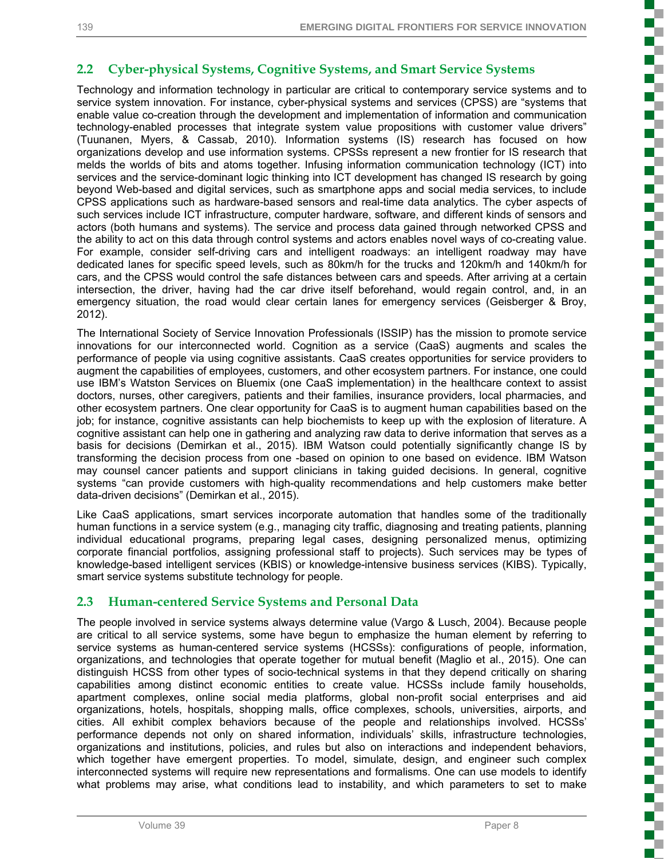Ş

ā

į

Ŧ 

Í

T

7

ì

₽

Ŝ

E

ŝ

Ŝ

# **2.2 Cyber-physical Systems, Cognitive Systems, and Smart Service Systems**

Technology and information technology in particular are critical to contemporary service systems and to service system innovation. For instance, cyber-physical systems and services (CPSS) are "systems that enable value co-creation through the development and implementation of information and communication technology-enabled processes that integrate system value propositions with customer value drivers" (Tuunanen, Myers, & Cassab, 2010). Information systems (IS) research has focused on how organizations develop and use information systems. CPSSs represent a new frontier for IS research that melds the worlds of bits and atoms together. Infusing information communication technology (ICT) into services and the service-dominant logic thinking into ICT development has changed IS research by going beyond Web-based and digital services, such as smartphone apps and social media services, to include CPSS applications such as hardware-based sensors and real-time data analytics. The cyber aspects of such services include ICT infrastructure, computer hardware, software, and different kinds of sensors and actors (both humans and systems). The service and process data gained through networked CPSS and the ability to act on this data through control systems and actors enables novel ways of co-creating value. For example, consider self-driving cars and intelligent roadways: an intelligent roadway may have dedicated lanes for specific speed levels, such as 80km/h for the trucks and 120km/h and 140km/h for cars, and the CPSS would control the safe distances between cars and speeds. After arriving at a certain intersection, the driver, having had the car drive itself beforehand, would regain control, and, in an emergency situation, the road would clear certain lanes for emergency services (Geisberger & Broy, 2012).

The International Society of Service Innovation Professionals (ISSIP) has the mission to promote service innovations for our interconnected world. Cognition as a service (CaaS) augments and scales the performance of people via using cognitive assistants. CaaS creates opportunities for service providers to augment the capabilities of employees, customers, and other ecosystem partners. For instance, one could use IBM's Watston Services on Bluemix (one CaaS implementation) in the healthcare context to assist doctors, nurses, other caregivers, patients and their families, insurance providers, local pharmacies, and other ecosystem partners. One clear opportunity for CaaS is to augment human capabilities based on the job; for instance, cognitive assistants can help biochemists to keep up with the explosion of literature. A cognitive assistant can help one in gathering and analyzing raw data to derive information that serves as a basis for decisions (Demirkan et al., 2015). IBM Watson could potentially significantly change IS by transforming the decision process from one -based on opinion to one based on evidence. IBM Watson may counsel cancer patients and support clinicians in taking guided decisions. In general, cognitive systems "can provide customers with high-quality recommendations and help customers make better data-driven decisions" (Demirkan et al., 2015).

Like CaaS applications, smart services incorporate automation that handles some of the traditionally human functions in a service system (e.g., managing city traffic, diagnosing and treating patients, planning individual educational programs, preparing legal cases, designing personalized menus, optimizing corporate financial portfolios, assigning professional staff to projects). Such services may be types of knowledge-based intelligent services (KBIS) or knowledge-intensive business services (KIBS). Typically, smart service systems substitute technology for people.

### **2.3 Human-centered Service Systems and Personal Data**

The people involved in service systems always determine value (Vargo & Lusch, 2004). Because people are critical to all service systems, some have begun to emphasize the human element by referring to service systems as human-centered service systems (HCSSs): configurations of people, information, organizations, and technologies that operate together for mutual benefit (Maglio et al., 2015). One can distinguish HCSS from other types of socio-technical systems in that they depend critically on sharing capabilities among distinct economic entities to create value. HCSSs include family households, apartment complexes, online social media platforms, global non-profit social enterprises and aid organizations, hotels, hospitals, shopping malls, office complexes, schools, universities, airports, and cities. All exhibit complex behaviors because of the people and relationships involved. HCSSs' performance depends not only on shared information, individuals' skills, infrastructure technologies, organizations and institutions, policies, and rules but also on interactions and independent behaviors, which together have emergent properties. To model, simulate, design, and engineer such complex interconnected systems will require new representations and formalisms. One can use models to identify what problems may arise, what conditions lead to instability, and which parameters to set to make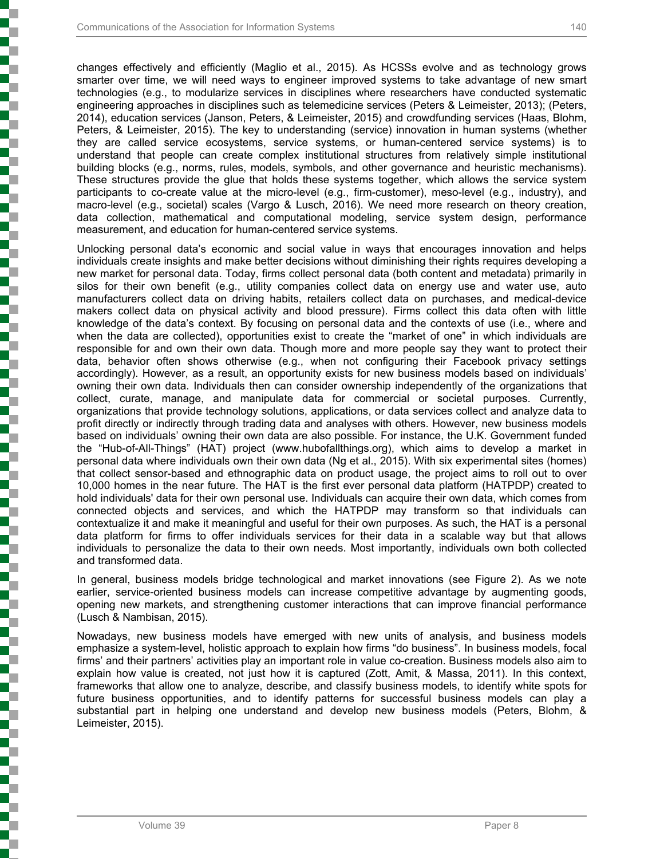changes effectively and efficiently (Maglio et al., 2015). As HCSSs evolve and as technology grows smarter over time, we will need ways to engineer improved systems to take advantage of new smart technologies (e.g., to modularize services in disciplines where researchers have conducted systematic engineering approaches in disciplines such as telemedicine services (Peters & Leimeister, 2013); (Peters, 2014), education services (Janson, Peters, & Leimeister, 2015) and crowdfunding services (Haas, Blohm, Peters, & Leimeister, 2015). The key to understanding (service) innovation in human systems (whether they are called service ecosystems, service systems, or human-centered service systems) is to understand that people can create complex institutional structures from relatively simple institutional building blocks (e.g., norms, rules, models, symbols, and other governance and heuristic mechanisms). These structures provide the glue that holds these systems together, which allows the service system participants to co-create value at the micro-level (e.g., firm-customer), meso-level (e.g., industry), and macro-level (e.g., societal) scales (Vargo & Lusch, 2016). We need more research on theory creation, data collection, mathematical and computational modeling, service system design, performance measurement, and education for human-centered service systems.

Unlocking personal data's economic and social value in ways that encourages innovation and helps individuals create insights and make better decisions without diminishing their rights requires developing a new market for personal data. Today, firms collect personal data (both content and metadata) primarily in silos for their own benefit (e.g., utility companies collect data on energy use and water use, auto manufacturers collect data on driving habits, retailers collect data on purchases, and medical-device makers collect data on physical activity and blood pressure). Firms collect this data often with little knowledge of the data's context. By focusing on personal data and the contexts of use (i.e., where and when the data are collected), opportunities exist to create the "market of one" in which individuals are responsible for and own their own data. Though more and more people say they want to protect their data, behavior often shows otherwise (e.g., when not configuring their Facebook privacy settings accordingly). However, as a result, an opportunity exists for new business models based on individuals' owning their own data. Individuals then can consider ownership independently of the organizations that collect, curate, manage, and manipulate data for commercial or societal purposes. Currently, organizations that provide technology solutions, applications, or data services collect and analyze data to profit directly or indirectly through trading data and analyses with others. However, new business models based on individuals' owning their own data are also possible. For instance, the U.K. Government funded the "Hub-of-All-Things" (HAT) project (www.hubofallthings.org), which aims to develop a market in personal data where individuals own their own data (Ng et al., 2015). With six experimental sites (homes) that collect sensor-based and ethnographic data on product usage, the project aims to roll out to over 10,000 homes in the near future. The HAT is the first ever personal data platform (HATPDP) created to hold individuals' data for their own personal use. Individuals can acquire their own data, which comes from connected objects and services, and which the HATPDP may transform so that individuals can contextualize it and make it meaningful and useful for their own purposes. As such, the HAT is a personal data platform for firms to offer individuals services for their data in a scalable way but that allows individuals to personalize the data to their own needs. Most importantly, individuals own both collected and transformed data.

In general, business models bridge technological and market innovations (see Figure 2). As we note earlier, service-oriented business models can increase competitive advantage by augmenting goods, opening new markets, and strengthening customer interactions that can improve financial performance (Lusch & Nambisan, 2015).

Nowadays, new business models have emerged with new units of analysis, and business models emphasize a system-level, holistic approach to explain how firms "do business". In business models, focal firms' and their partners' activities play an important role in value co-creation. Business models also aim to explain how value is created, not just how it is captured (Zott, Amit, & Massa, 2011). In this context, frameworks that allow one to analyze, describe, and classify business models, to identify white spots for future business opportunities, and to identify patterns for successful business models can play a substantial part in helping one understand and develop new business models (Peters, Blohm, & Leimeister, 2015).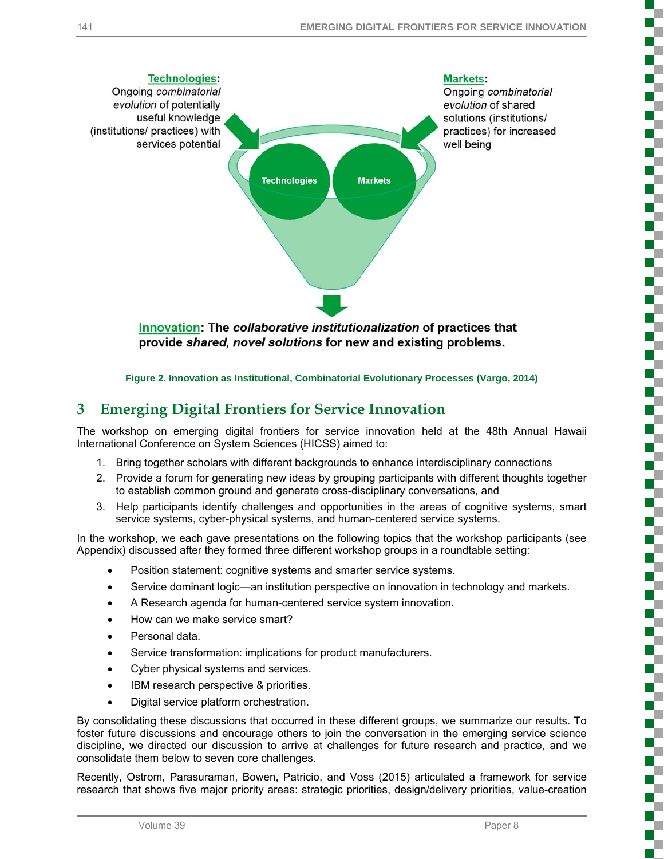

**Figure 2. Innovation as Institutional, Combinatorial Evolutionary Processes (Vargo, 2014)**

# **3 Emerging Digital Frontiers for Service Innovation**

The workshop on emerging digital frontiers for service innovation held at the 48th Annual Hawaii International Conference on System Sciences (HICSS) aimed to:

- 1. Bring together scholars with different backgrounds to enhance interdisciplinary connections
- 2. Provide a forum for generating new ideas by grouping participants with different thoughts together to establish common ground and generate cross-disciplinary conversations, and
- 3. Help participants identify challenges and opportunities in the areas of cognitive systems, smart service systems, cyber-physical systems, and human-centered service systems.

In the workshop, we each gave presentations on the following topics that the workshop participants (see Appendix) discussed after they formed three different workshop groups in a roundtable setting:

- Position statement: cognitive systems and smarter service systems.
- Service dominant logic—an institution perspective on innovation in technology and markets.
- A Research agenda for human-centered service system innovation.
- How can we make service smart?
- Personal data.
- Service transformation: implications for product manufacturers.
- Cyber physical systems and services.
- IBM research perspective & priorities.
- Digital service platform orchestration.

By consolidating these discussions that occurred in these different groups, we summarize our results. To foster future discussions and encourage others to join the conversation in the emerging service science discipline, we directed our discussion to arrive at challenges for future research and practice, and we consolidate them below to seven core challenges.

Recently, Ostrom, Parasuraman, Bowen, Patricio, and Voss (2015) articulated a framework for service research that shows five major priority areas: strategic priorities, design/delivery priorities, value-creation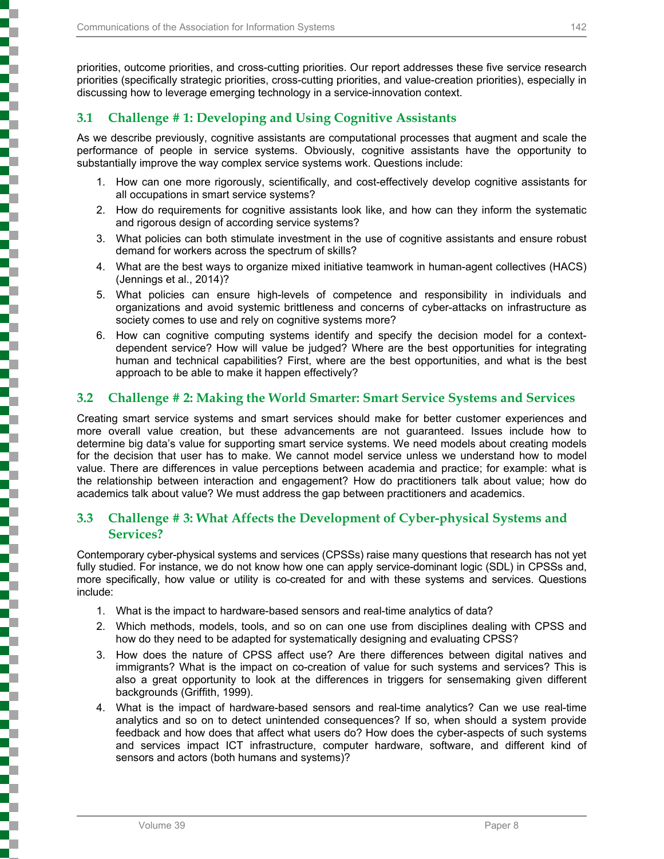priorities, outcome priorities, and cross-cutting priorities. Our report addresses these five service research priorities (specifically strategic priorities, cross-cutting priorities, and value-creation priorities), especially in discussing how to leverage emerging technology in a service-innovation context.

### **3.1 Challenge # 1: Developing and Using Cognitive Assistants**

As we describe previously, cognitive assistants are computational processes that augment and scale the performance of people in service systems. Obviously, cognitive assistants have the opportunity to substantially improve the way complex service systems work. Questions include:

- 1. How can one more rigorously, scientifically, and cost-effectively develop cognitive assistants for all occupations in smart service systems?
- 2. How do requirements for cognitive assistants look like, and how can they inform the systematic and rigorous design of according service systems?
- 3. What policies can both stimulate investment in the use of cognitive assistants and ensure robust demand for workers across the spectrum of skills?
- 4. What are the best ways to organize mixed initiative teamwork in human-agent collectives (HACS) (Jennings et al., 2014)?
- 5. What policies can ensure high-levels of competence and responsibility in individuals and organizations and avoid systemic brittleness and concerns of cyber-attacks on infrastructure as society comes to use and rely on cognitive systems more?
- 6. How can cognitive computing systems identify and specify the decision model for a contextdependent service? How will value be judged? Where are the best opportunities for integrating human and technical capabilities? First, where are the best opportunities, and what is the best approach to be able to make it happen effectively?

### **3.2 Challenge # 2: Making the World Smarter: Smart Service Systems and Services**

Creating smart service systems and smart services should make for better customer experiences and more overall value creation, but these advancements are not guaranteed. Issues include how to determine big data's value for supporting smart service systems. We need models about creating models for the decision that user has to make. We cannot model service unless we understand how to model value. There are differences in value perceptions between academia and practice; for example: what is the relationship between interaction and engagement? How do practitioners talk about value; how do academics talk about value? We must address the gap between practitioners and academics.

### **3.3 Challenge # 3: What Affects the Development of Cyber-physical Systems and Services?**

Contemporary cyber-physical systems and services (CPSSs) raise many questions that research has not yet fully studied. For instance, we do not know how one can apply service-dominant logic (SDL) in CPSSs and, more specifically, how value or utility is co-created for and with these systems and services. Questions include:

- 1. What is the impact to hardware-based sensors and real-time analytics of data?
- 2. Which methods, models, tools, and so on can one use from disciplines dealing with CPSS and how do they need to be adapted for systematically designing and evaluating CPSS?
- 3. How does the nature of CPSS affect use? Are there differences between digital natives and immigrants? What is the impact on co-creation of value for such systems and services? This is also a great opportunity to look at the differences in triggers for sensemaking given different backgrounds (Griffith, 1999).
- 4. What is the impact of hardware-based sensors and real-time analytics? Can we use real-time analytics and so on to detect unintended consequences? If so, when should a system provide feedback and how does that affect what users do? How does the cyber-aspects of such systems and services impact ICT infrastructure, computer hardware, software, and different kind of sensors and actors (both humans and systems)?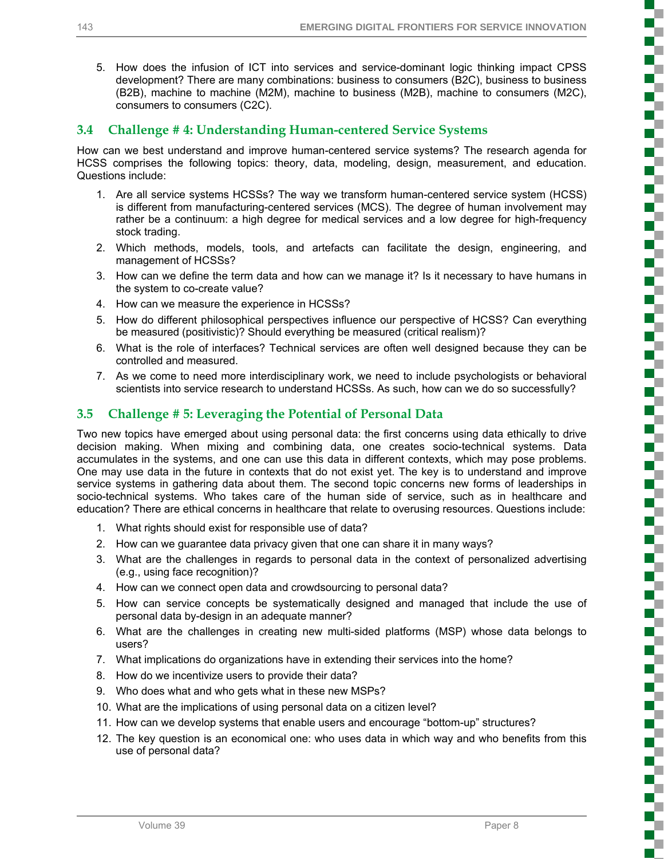₹ T. c

í

Ś

T 2

ç ₹

ş

7

c

ì

2

į

c

i

į

Г E.

į

5. How does the infusion of ICT into services and service-dominant logic thinking impact CPSS development? There are many combinations: business to consumers (B2C), business to business (B2B), machine to machine (M2M), machine to business (M2B), machine to consumers (M2C), consumers to consumers (C2C).

### **3.4 Challenge # 4: Understanding Human-centered Service Systems**

How can we best understand and improve human-centered service systems? The research agenda for HCSS comprises the following topics: theory, data, modeling, design, measurement, and education. Questions include:

- 1. Are all service systems HCSSs? The way we transform human-centered service system (HCSS) is different from manufacturing-centered services (MCS). The degree of human involvement may rather be a continuum: a high degree for medical services and a low degree for high-frequency stock trading.
- 2. Which methods, models, tools, and artefacts can facilitate the design, engineering, and management of HCSSs?
- 3. How can we define the term data and how can we manage it? Is it necessary to have humans in the system to co-create value?
- 4. How can we measure the experience in HCSSs?
- 5. How do different philosophical perspectives influence our perspective of HCSS? Can everything be measured (positivistic)? Should everything be measured (critical realism)?
- 6. What is the role of interfaces? Technical services are often well designed because they can be controlled and measured.
- 7. As we come to need more interdisciplinary work, we need to include psychologists or behavioral scientists into service research to understand HCSSs. As such, how can we do so successfully?

# **3.5 Challenge # 5: Leveraging the Potential of Personal Data**

Two new topics have emerged about using personal data: the first concerns using data ethically to drive decision making. When mixing and combining data, one creates socio-technical systems. Data accumulates in the systems, and one can use this data in different contexts, which may pose problems. One may use data in the future in contexts that do not exist yet. The key is to understand and improve service systems in gathering data about them. The second topic concerns new forms of leaderships in socio-technical systems. Who takes care of the human side of service, such as in healthcare and education? There are ethical concerns in healthcare that relate to overusing resources. Questions include:

- 1. What rights should exist for responsible use of data?
- 2. How can we guarantee data privacy given that one can share it in many ways?
- 3. What are the challenges in regards to personal data in the context of personalized advertising (e.g., using face recognition)?
- 4. How can we connect open data and crowdsourcing to personal data?
- 5. How can service concepts be systematically designed and managed that include the use of personal data by-design in an adequate manner?
- 6. What are the challenges in creating new multi-sided platforms (MSP) whose data belongs to users?
- 7. What implications do organizations have in extending their services into the home?
- 8. How do we incentivize users to provide their data?
- 9. Who does what and who gets what in these new MSPs?
- 10. What are the implications of using personal data on a citizen level?
- 11. How can we develop systems that enable users and encourage "bottom-up" structures?
- 12. The key question is an economical one: who uses data in which way and who benefits from this use of personal data?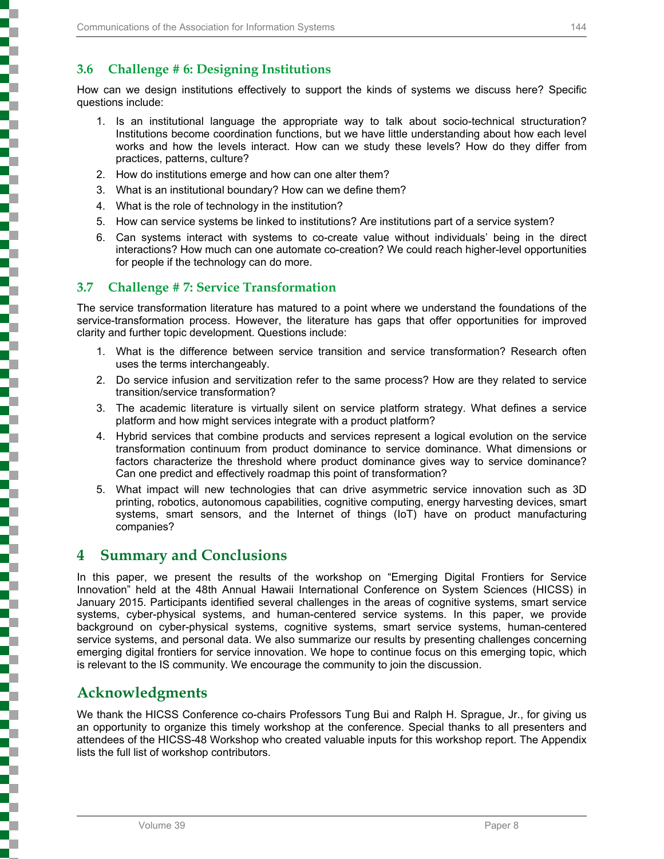### **3.6 Challenge # 6: Designing Institutions**

How can we design institutions effectively to support the kinds of systems we discuss here? Specific questions include:

- 1. Is an institutional language the appropriate way to talk about socio-technical structuration? Institutions become coordination functions, but we have little understanding about how each level works and how the levels interact. How can we study these levels? How do they differ from practices, patterns, culture?
- 2. How do institutions emerge and how can one alter them?
- 3. What is an institutional boundary? How can we define them?
- 4. What is the role of technology in the institution?
- 5. How can service systems be linked to institutions? Are institutions part of a service system?
- 6. Can systems interact with systems to co-create value without individuals' being in the direct interactions? How much can one automate co-creation? We could reach higher-level opportunities for people if the technology can do more.

### **3.7 Challenge # 7: Service Transformation**

The service transformation literature has matured to a point where we understand the foundations of the service-transformation process. However, the literature has gaps that offer opportunities for improved clarity and further topic development. Questions include:

- 1. What is the difference between service transition and service transformation? Research often uses the terms interchangeably.
- 2. Do service infusion and servitization refer to the same process? How are they related to service transition/service transformation?
- 3. The academic literature is virtually silent on service platform strategy. What defines a service platform and how might services integrate with a product platform?
- 4. Hybrid services that combine products and services represent a logical evolution on the service transformation continuum from product dominance to service dominance. What dimensions or factors characterize the threshold where product dominance gives way to service dominance? Can one predict and effectively roadmap this point of transformation?
- 5. What impact will new technologies that can drive asymmetric service innovation such as 3D printing, robotics, autonomous capabilities, cognitive computing, energy harvesting devices, smart systems, smart sensors, and the Internet of things (IoT) have on product manufacturing companies?

# **4 Summary and Conclusions**

In this paper, we present the results of the workshop on "Emerging Digital Frontiers for Service Innovation" held at the 48th Annual Hawaii International Conference on System Sciences (HICSS) in January 2015. Participants identified several challenges in the areas of cognitive systems, smart service systems, cyber-physical systems, and human-centered service systems. In this paper, we provide background on cyber-physical systems, cognitive systems, smart service systems, human-centered service systems, and personal data. We also summarize our results by presenting challenges concerning emerging digital frontiers for service innovation. We hope to continue focus on this emerging topic, which is relevant to the IS community. We encourage the community to join the discussion.

# **Acknowledgments**

We thank the HICSS Conference co-chairs Professors Tung Bui and Ralph H. Sprague, Jr., for giving us an opportunity to organize this timely workshop at the conference. Special thanks to all presenters and attendees of the HICSS-48 Workshop who created valuable inputs for this workshop report. The Appendix lists the full list of workshop contributors.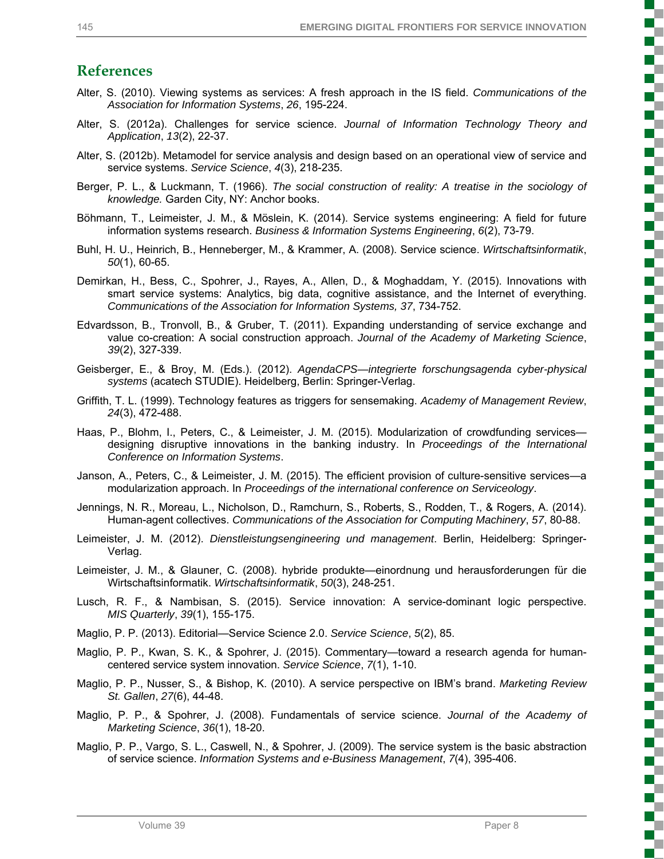į

Ş

ď, U 2

Ş

с 2

l

E

ç

į

# **References**

- Alter, S. (2010). Viewing systems as services: A fresh approach in the IS field. *Communications of the Association for Information Systems*, *26*, 195-224.
- Alter, S. (2012a). Challenges for service science. *Journal of Information Technology Theory and Application*, *13*(2), 22-37.
- Alter, S. (2012b). Metamodel for service analysis and design based on an operational view of service and service systems. *Service Science*, *4*(3), 218-235.
- Berger, P. L., & Luckmann, T. (1966). *The social construction of reality: A treatise in the sociology of knowledge.* Garden City, NY: Anchor books.
- Böhmann, T., Leimeister, J. M., & Möslein, K. (2014). Service systems engineering: A field for future information systems research. *Business & Information Systems Engineering*, *6*(2), 73-79.
- Buhl, H. U., Heinrich, B., Henneberger, M., & Krammer, A. (2008). Service science. *Wirtschaftsinformatik*, *50*(1), 60-65.
- Demirkan, H., Bess, C., Spohrer, J., Rayes, A., Allen, D., & Moghaddam, Y. (2015). Innovations with smart service systems: Analytics, big data, cognitive assistance, and the Internet of everything. *Communications of the Association for Information Systems, 37*, 734-752.
- Edvardsson, B., Tronvoll, B., & Gruber, T. (2011). Expanding understanding of service exchange and value co-creation: A social construction approach. *Journal of the Academy of Marketing Science*, *39*(2), 327-339.
- Geisberger, E., & Broy, M. (Eds.). (2012). *AgendaCPS—integrierte forschungsagenda cyber-physical systems* (acatech STUDIE). Heidelberg, Berlin: Springer-Verlag.
- Griffith, T. L. (1999). Technology features as triggers for sensemaking. *Academy of Management Review*, *24*(3), 472-488.
- Haas, P., Blohm, I., Peters, C., & Leimeister, J. M. (2015). Modularization of crowdfunding services designing disruptive innovations in the banking industry. In *Proceedings of the International Conference on Information Systems*.
- Janson, A., Peters, C., & Leimeister, J. M. (2015). The efficient provision of culture-sensitive services—a modularization approach. In *Proceedings of the international conference on Serviceology*.
- Jennings, N. R., Moreau, L., Nicholson, D., Ramchurn, S., Roberts, S., Rodden, T., & Rogers, A. (2014). Human-agent collectives. *Communications of the Association for Computing Machinery*, *57*, 80-88.
- Leimeister, J. M. (2012). *Dienstleistungsengineering und management*. Berlin, Heidelberg: Springer-Verlag.
- Leimeister, J. M., & Glauner, C. (2008). hybride produkte—einordnung und herausforderungen für die Wirtschaftsinformatik. *Wirtschaftsinformatik*, *50*(3), 248-251.
- Lusch, R. F., & Nambisan, S. (2015). Service innovation: A service-dominant logic perspective. *MIS Quarterly*, *39*(1), 155-175.
- Maglio, P. P. (2013). Editorial—Service Science 2.0. *Service Science*, *5*(2), 85.
- Maglio, P. P., Kwan, S. K., & Spohrer, J. (2015). Commentary—toward a research agenda for humancentered service system innovation. *Service Science*, *7*(1), 1-10.
- Maglio, P. P., Nusser, S., & Bishop, K. (2010). A service perspective on IBM's brand. *Marketing Review St. Gallen*, *27*(6), 44-48.
- Maglio, P. P., & Spohrer, J. (2008). Fundamentals of service science. *Journal of the Academy of Marketing Science*, *36*(1), 18-20.
- Maglio, P. P., Vargo, S. L., Caswell, N., & Spohrer, J. (2009). The service system is the basic abstraction of service science. *Information Systems and e-Business Management*, *7*(4), 395-406.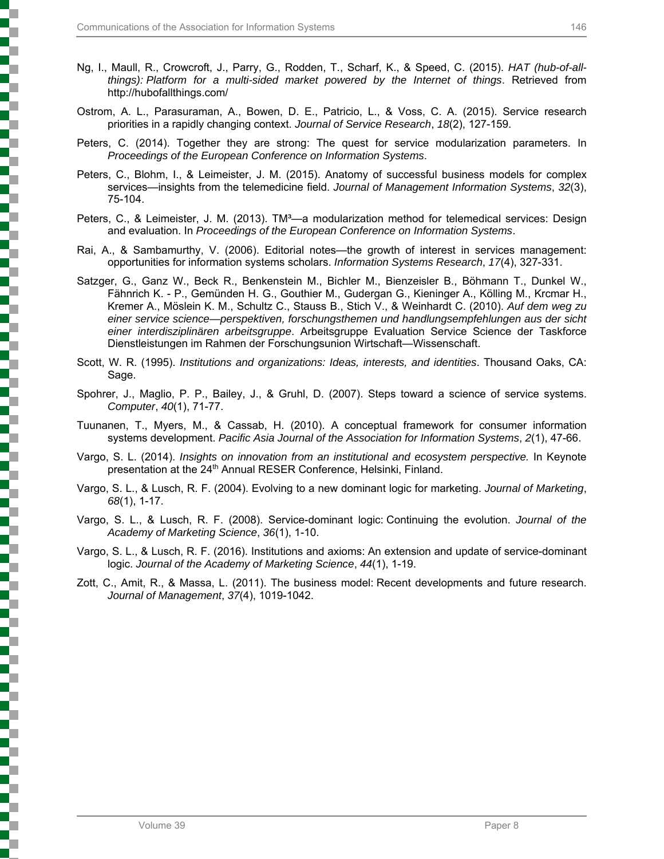- Ng, I., Maull, R., Crowcroft, J., Parry, G., Rodden, T., Scharf, K., & Speed, C. (2015). *HAT (hub-of-allthings): Platform for a multi-sided market powered by the Internet of things*. Retrieved from http://hubofallthings.com/
- Ostrom, A. L., Parasuraman, A., Bowen, D. E., Patricio, L., & Voss, C. A. (2015). Service research priorities in a rapidly changing context. *Journal of Service Research*, *18*(2), 127-159.
- Peters, C. (2014). Together they are strong: The quest for service modularization parameters. In *Proceedings of the European Conference on Information Systems*.
- Peters, C., Blohm, I., & Leimeister, J. M. (2015). Anatomy of successful business models for complex services—insights from the telemedicine field. *Journal of Management Information Systems*, *32*(3), 75-104.
- Peters, C., & Leimeister, J. M. (2013). TM<sup>3</sup>—a modularization method for telemedical services: Design and evaluation. In *Proceedings of the European Conference on Information Systems*.
- Rai, A., & Sambamurthy, V. (2006). Editorial notes—the growth of interest in services management: opportunities for information systems scholars. *Information Systems Research*, *17*(4), 327-331.
- Satzger, G., Ganz W., Beck R., Benkenstein M., Bichler M., Bienzeisler B., Böhmann T., Dunkel W., Fähnrich K. - P., Gemünden H. G., Gouthier M., Gudergan G., Kieninger A., Kölling M., Krcmar H., Kremer A., Möslein K. M., Schultz C., Stauss B., Stich V., & Weinhardt C. (2010). *Auf dem weg zu einer service science—perspektiven, forschungsthemen und handlungsempfehlungen aus der sicht einer interdisziplinären arbeitsgruppe*. Arbeitsgruppe Evaluation Service Science der Taskforce Dienstleistungen im Rahmen der Forschungsunion Wirtschaft—Wissenschaft.
- Scott, W. R. (1995). *Institutions and organizations: Ideas, interests, and identities*. Thousand Oaks, CA: Sage.
- Spohrer, J., Maglio, P. P., Bailey, J., & Gruhl, D. (2007). Steps toward a science of service systems. *Computer*, *40*(1), 71-77.
- Tuunanen, T., Myers, M., & Cassab, H. (2010). A conceptual framework for consumer information systems development. *Pacific Asia Journal of the Association for Information Systems*, *2*(1), 47-66.
- Vargo, S. L. (2014). *Insights on innovation from an institutional and ecosystem perspective.* In Keynote presentation at the 24<sup>th</sup> Annual RESER Conference, Helsinki, Finland.
- Vargo, S. L., & Lusch, R. F. (2004). Evolving to a new dominant logic for marketing. *Journal of Marketing*, *68*(1), 1-17.
- Vargo, S. L., & Lusch, R. F. (2008). Service-dominant logic: Continuing the evolution. *Journal of the Academy of Marketing Science*, *36*(1), 1-10.
- Vargo, S. L., & Lusch, R. F. (2016). Institutions and axioms: An extension and update of service-dominant logic. *Journal of the Academy of Marketing Science*, *44*(1), 1-19.
- Zott, C., Amit, R., & Massa, L. (2011). The business model: Recent developments and future research. *Journal of Management*, *37*(4), 1019-1042.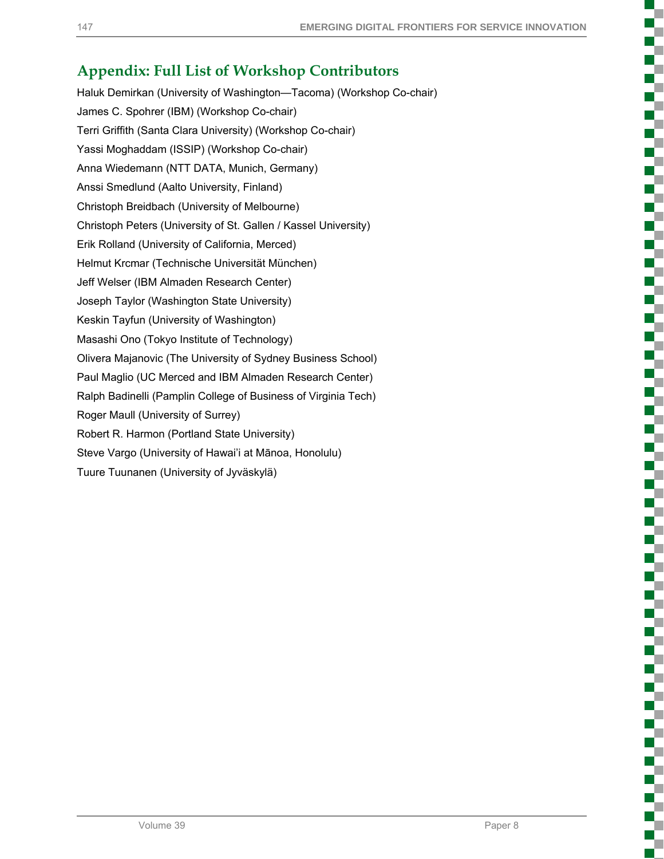T,

T

# **Appendix: Full List of Workshop Contributors**

Haluk Demirkan (University of Washington—Tacoma) (Workshop Co-chair) James C. Spohrer (IBM) (Workshop Co-chair) Terri Griffith (Santa Clara University) (Workshop Co-chair) Yassi Moghaddam (ISSIP) (Workshop Co-chair) Anna Wiedemann (NTT DATA, Munich, Germany) Anssi Smedlund (Aalto University, Finland) Christoph Breidbach (University of Melbourne) Christoph Peters (University of St. Gallen / Kassel University) Erik Rolland (University of California, Merced) Helmut Krcmar (Technische Universität München) Jeff Welser (IBM Almaden Research Center) Joseph Taylor (Washington State University) Keskin Tayfun (University of Washington) Masashi Ono (Tokyo Institute of Technology) Olivera Majanovic (The University of Sydney Business School) Paul Maglio (UC Merced and IBM Almaden Research Center) Ralph Badinelli (Pamplin College of Business of Virginia Tech) Roger Maull (University of Surrey) Robert R. Harmon (Portland State University) Steve Vargo (University of Hawai'i at Mānoa, Honolulu) Tuure Tuunanen (University of Jyväskylä)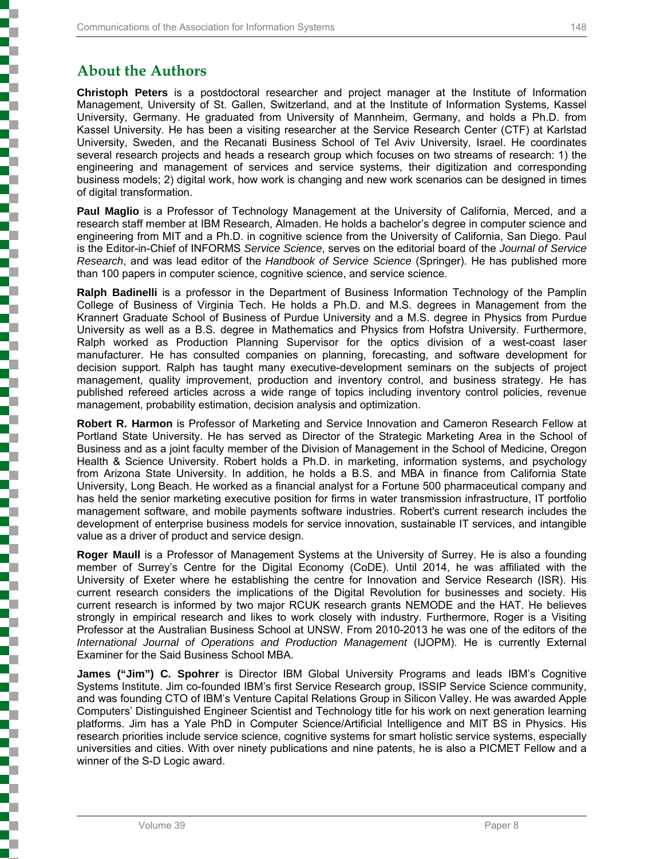# **About the Authors**

**Christoph Peters** is a postdoctoral researcher and project manager at the Institute of Information Management, University of St. Gallen, Switzerland, and at the Institute of Information Systems, Kassel University, Germany. He graduated from University of Mannheim, Germany, and holds a Ph.D. from Kassel University. He has been a visiting researcher at the Service Research Center (CTF) at Karlstad University, Sweden, and the Recanati Business School of Tel Aviv University, Israel. He coordinates several research projects and heads a research group which focuses on two streams of research: 1) the engineering and management of services and service systems, their digitization and corresponding business models; 2) digital work, how work is changing and new work scenarios can be designed in times of digital transformation.

**Paul Maglio** is a Professor of Technology Management at the University of California, Merced, and a research staff member at IBM Research, Almaden. He holds a bachelor's degree in computer science and engineering from MIT and a Ph.D. in cognitive science from the University of California, San Diego. Paul is the Editor-in-Chief of INFORMS *Service Science*, serves on the editorial board of the *Journal of Service Research*, and was lead editor of the *Handbook of Service Science* (Springer). He has published more than 100 papers in computer science, cognitive science, and service science.

**Ralph Badinelli** is a professor in the Department of Business Information Technology of the Pamplin College of Business of Virginia Tech. He holds a Ph.D. and M.S. degrees in Management from the Krannert Graduate School of Business of Purdue University and a M.S. degree in Physics from Purdue University as well as a B.S. degree in Mathematics and Physics from Hofstra University. Furthermore, Ralph worked as Production Planning Supervisor for the optics division of a west-coast laser manufacturer. He has consulted companies on planning, forecasting, and software development for decision support. Ralph has taught many executive-development seminars on the subjects of project management, quality improvement, production and inventory control, and business strategy. He has published refereed articles across a wide range of topics including inventory control policies, revenue management, probability estimation, decision analysis and optimization.

**Robert R. Harmon** is Professor of Marketing and Service Innovation and Cameron Research Fellow at Portland State University. He has served as Director of the Strategic Marketing Area in the School of Business and as a joint faculty member of the Division of Management in the School of Medicine, Oregon Health & Science University. Robert holds a Ph.D. in marketing, information systems, and psychology from Arizona State University. In addition, he holds a B.S. and MBA in finance from California State University, Long Beach. He worked as a financial analyst for a Fortune 500 pharmaceutical company and has held the senior marketing executive position for firms in water transmission infrastructure, IT portfolio management software, and mobile payments software industries. Robert's current research includes the development of enterprise business models for service innovation, sustainable IT services, and intangible value as a driver of product and service design.

**Roger Maull** is a Professor of Management Systems at the University of Surrey. He is also a founding member of Surrey's Centre for the Digital Economy (CoDE). Until 2014, he was affiliated with the University of Exeter where he establishing the centre for Innovation and Service Research (ISR). His current research considers the implications of the Digital Revolution for businesses and society. His current research is informed by two major RCUK research grants NEMODE and the HAT. He believes strongly in empirical research and likes to work closely with industry. Furthermore, Roger is a Visiting Professor at the Australian Business School at UNSW. From 2010-2013 he was one of the editors of the *International Journal of Operations and Production Management* (IJOPM). He is currently External Examiner for the Said Business School MBA.

**James ("Jim") C. Spohrer** is Director IBM Global University Programs and leads IBM's Cognitive Systems Institute. Jim co-founded IBM's first Service Research group, ISSIP Service Science community, and was founding CTO of IBM's Venture Capital Relations Group in Silicon Valley. He was awarded Apple Computers' Distinguished Engineer Scientist and Technology title for his work on next generation learning platforms. Jim has a Yale PhD in Computer Science/Artificial Intelligence and MIT BS in Physics. His research priorities include service science, cognitive systems for smart holistic service systems, especially universities and cities. With over ninety publications and nine patents, he is also a PICMET Fellow and a winner of the S-D Logic award.